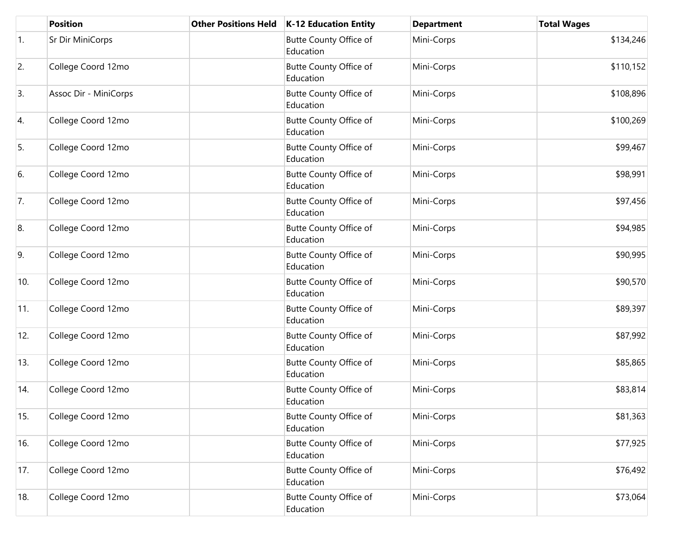|                  | <b>Position</b>       | <b>Other Positions Held</b> | <b>K-12 Education Entity</b>               | <b>Department</b> | <b>Total Wages</b> |
|------------------|-----------------------|-----------------------------|--------------------------------------------|-------------------|--------------------|
| $\overline{1}$ . | Sr Dir MiniCorps      |                             | <b>Butte County Office of</b><br>Education | Mini-Corps        | \$134,246          |
| 2.               | College Coord 12mo    |                             | Butte County Office of<br>Education        | Mini-Corps        | \$110,152          |
| 3.               | Assoc Dir - MiniCorps |                             | Butte County Office of<br>Education        | Mini-Corps        | \$108,896          |
| 4.               | College Coord 12mo    |                             | <b>Butte County Office of</b><br>Education | Mini-Corps        | \$100,269          |
| 5.               | College Coord 12mo    |                             | <b>Butte County Office of</b><br>Education | Mini-Corps        | \$99,467           |
| 6.               | College Coord 12mo    |                             | <b>Butte County Office of</b><br>Education | Mini-Corps        | \$98,991           |
| 7.               | College Coord 12mo    |                             | <b>Butte County Office of</b><br>Education | Mini-Corps        | \$97,456           |
| 8.               | College Coord 12mo    |                             | Butte County Office of<br>Education        | Mini-Corps        | \$94,985           |
| 9.               | College Coord 12mo    |                             | <b>Butte County Office of</b><br>Education | Mini-Corps        | \$90,995           |
| 10.              | College Coord 12mo    |                             | Butte County Office of<br>Education        | Mini-Corps        | \$90,570           |
| 11.              | College Coord 12mo    |                             | <b>Butte County Office of</b><br>Education | Mini-Corps        | \$89,397           |
| 12.              | College Coord 12mo    |                             | Butte County Office of<br>Education        | Mini-Corps        | \$87,992           |
| 13.              | College Coord 12mo    |                             | Butte County Office of<br>Education        | Mini-Corps        | \$85,865           |
| 14.              | College Coord 12mo    |                             | <b>Butte County Office of</b><br>Education | Mini-Corps        | \$83,814           |
| 15.              | College Coord 12mo    |                             | Butte County Office of<br>Education        | Mini-Corps        | \$81,363           |
| 16.              | College Coord 12mo    |                             | Butte County Office of<br>Education        | Mini-Corps        | \$77,925           |
| 17.              | College Coord 12mo    |                             | Butte County Office of<br>Education        | Mini-Corps        | \$76,492           |
| 18.              | College Coord 12mo    |                             | Butte County Office of<br>Education        | Mini-Corps        | \$73,064           |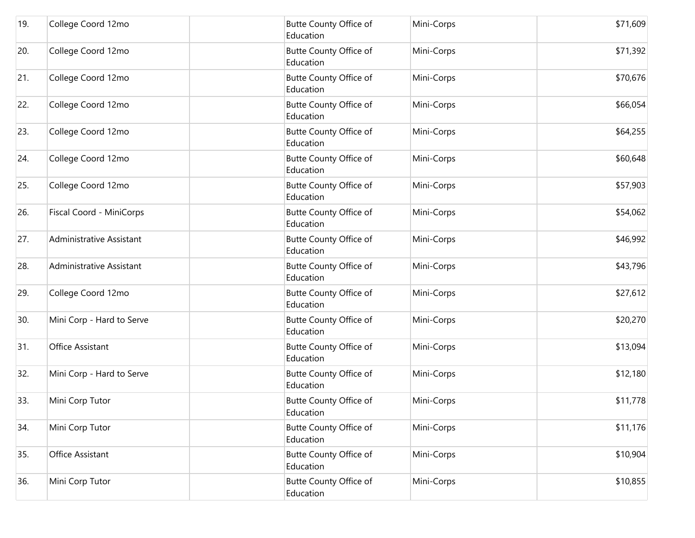| 19. | College Coord 12mo        | Butte County Office of<br>Education        | Mini-Corps | \$71,609 |
|-----|---------------------------|--------------------------------------------|------------|----------|
| 20. | College Coord 12mo        | Butte County Office of<br>Education        | Mini-Corps | \$71,392 |
| 21. | College Coord 12mo        | <b>Butte County Office of</b><br>Education | Mini-Corps | \$70,676 |
| 22. | College Coord 12mo        | Butte County Office of<br>Education        | Mini-Corps | \$66,054 |
| 23. | College Coord 12mo        | Butte County Office of<br>Education        | Mini-Corps | \$64,255 |
| 24. | College Coord 12mo        | Butte County Office of<br>Education        | Mini-Corps | \$60,648 |
| 25. | College Coord 12mo        | Butte County Office of<br>Education        | Mini-Corps | \$57,903 |
| 26. | Fiscal Coord - MiniCorps  | Butte County Office of<br>Education        | Mini-Corps | \$54,062 |
| 27. | Administrative Assistant  | Butte County Office of<br>Education        | Mini-Corps | \$46,992 |
| 28. | Administrative Assistant  | <b>Butte County Office of</b><br>Education | Mini-Corps | \$43,796 |
| 29. | College Coord 12mo        | <b>Butte County Office of</b><br>Education | Mini-Corps | \$27,612 |
| 30. | Mini Corp - Hard to Serve | Butte County Office of<br>Education        | Mini-Corps | \$20,270 |
| 31. | Office Assistant          | Butte County Office of<br>Education        | Mini-Corps | \$13,094 |
| 32. | Mini Corp - Hard to Serve | Butte County Office of<br>Education        | Mini-Corps | \$12,180 |
| 33. | Mini Corp Tutor           | Butte County Office of<br>Education        | Mini-Corps | \$11,778 |
| 34. | Mini Corp Tutor           | Butte County Office of<br>Education        | Mini-Corps | \$11,176 |
| 35. | Office Assistant          | Butte County Office of<br>Education        | Mini-Corps | \$10,904 |
| 36. | Mini Corp Tutor           | Butte County Office of<br>Education        | Mini-Corps | \$10,855 |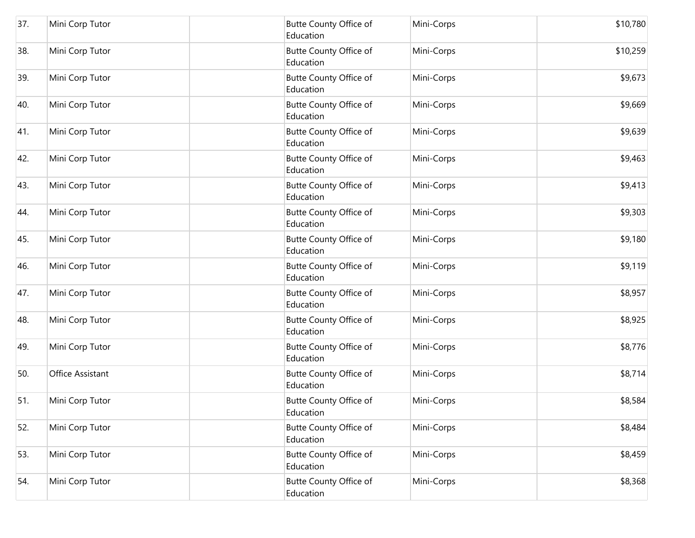| 37. | Mini Corp Tutor  | <b>Butte County Office of</b><br>Education | Mini-Corps | \$10,780 |
|-----|------------------|--------------------------------------------|------------|----------|
| 38. | Mini Corp Tutor  | Butte County Office of<br>Education        | Mini-Corps | \$10,259 |
| 39. | Mini Corp Tutor  | <b>Butte County Office of</b><br>Education | Mini-Corps | \$9,673  |
| 40. | Mini Corp Tutor  | Butte County Office of<br>Education        | Mini-Corps | \$9,669  |
| 41. | Mini Corp Tutor  | Butte County Office of<br>Education        | Mini-Corps | \$9,639  |
| 42. | Mini Corp Tutor  | Butte County Office of<br>Education        | Mini-Corps | \$9,463  |
| 43. | Mini Corp Tutor  | <b>Butte County Office of</b><br>Education | Mini-Corps | \$9,413  |
| 44. | Mini Corp Tutor  | Butte County Office of<br>Education        | Mini-Corps | \$9,303  |
| 45. | Mini Corp Tutor  | Butte County Office of<br>Education        | Mini-Corps | \$9,180  |
| 46. | Mini Corp Tutor  | <b>Butte County Office of</b><br>Education | Mini-Corps | \$9,119  |
| 47. | Mini Corp Tutor  | Butte County Office of<br>Education        | Mini-Corps | \$8,957  |
| 48. | Mini Corp Tutor  | <b>Butte County Office of</b><br>Education | Mini-Corps | \$8,925  |
| 49. | Mini Corp Tutor  | Butte County Office of<br>Education        | Mini-Corps | \$8,776  |
| 50. | Office Assistant | Butte County Office of<br>Education        | Mini-Corps | \$8,714  |
| 51. | Mini Corp Tutor  | Butte County Office of<br>Education        | Mini-Corps | \$8,584  |
| 52. | Mini Corp Tutor  | <b>Butte County Office of</b><br>Education | Mini-Corps | \$8,484  |
| 53. | Mini Corp Tutor  | Butte County Office of<br>Education        | Mini-Corps | \$8,459  |
| 54. | Mini Corp Tutor  | Butte County Office of<br>Education        | Mini-Corps | \$8,368  |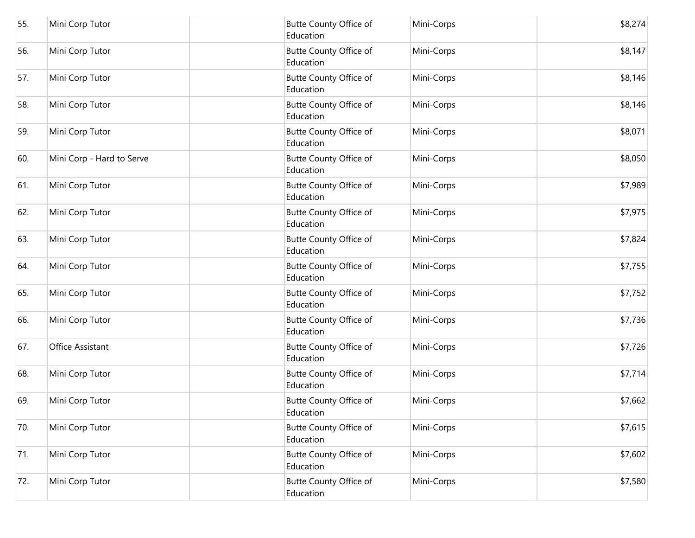| 55. | Mini Corp Tutor           | <b>Butte County Office of</b><br>Education | Mini-Corps | \$8,274 |
|-----|---------------------------|--------------------------------------------|------------|---------|
| 56. | Mini Corp Tutor           | Butte County Office of<br>Education        | Mini-Corps | \$8,147 |
| 57. | Mini Corp Tutor           | <b>Butte County Office of</b><br>Education | Mini-Corps | \$8,146 |
| 58. | Mini Corp Tutor           | Butte County Office of<br>Education        | Mini-Corps | \$8,146 |
| 59. | Mini Corp Tutor           | <b>Butte County Office of</b><br>Education | Mini-Corps | \$8,071 |
| 60. | Mini Corp - Hard to Serve | <b>Butte County Office of</b><br>Education | Mini-Corps | \$8,050 |
| 61. | Mini Corp Tutor           | Butte County Office of<br>Education        | Mini-Corps | \$7,989 |
| 62. | Mini Corp Tutor           | <b>Butte County Office of</b><br>Education | Mini-Corps | \$7,975 |
| 63. | Mini Corp Tutor           | Butte County Office of<br>Education        | Mini-Corps | \$7,824 |
| 64. | Mini Corp Tutor           | Butte County Office of<br>Education        | Mini-Corps | \$7,755 |
| 65. | Mini Corp Tutor           | Butte County Office of<br>Education        | Mini-Corps | \$7,752 |
| 66. | Mini Corp Tutor           | Butte County Office of<br>Education        | Mini-Corps | \$7,736 |
| 67. | Office Assistant          | <b>Butte County Office of</b><br>Education | Mini-Corps | \$7,726 |
| 68. | Mini Corp Tutor           | Butte County Office of<br>Education        | Mini-Corps | \$7,714 |
| 69. | Mini Corp Tutor           | <b>Butte County Office of</b><br>Education | Mini-Corps | \$7,662 |
| 70. | Mini Corp Tutor           | Butte County Office of<br>Education        | Mini-Corps | \$7,615 |
| 71. | Mini Corp Tutor           | Butte County Office of<br>Education        | Mini-Corps | \$7,602 |
| 72. | Mini Corp Tutor           | Butte County Office of<br>Education        | Mini-Corps | \$7,580 |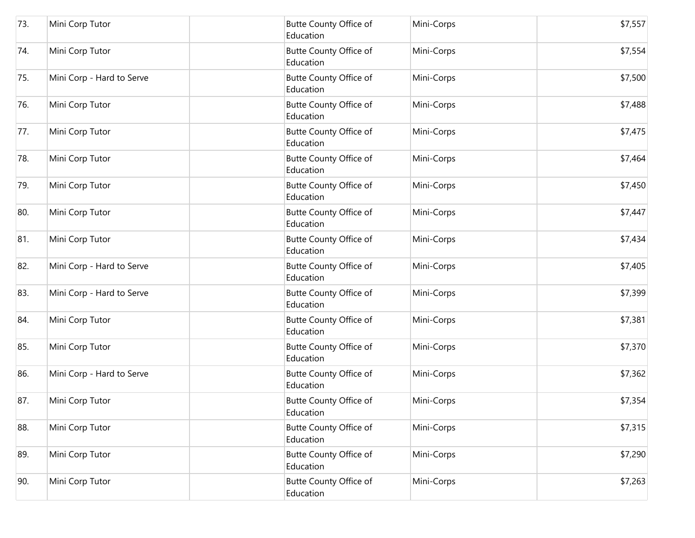| 73. | Mini Corp Tutor           | <b>Butte County Office of</b><br>Education | Mini-Corps | \$7,557 |
|-----|---------------------------|--------------------------------------------|------------|---------|
| 74. | Mini Corp Tutor           | <b>Butte County Office of</b><br>Education | Mini-Corps | \$7,554 |
| 75. | Mini Corp - Hard to Serve | <b>Butte County Office of</b><br>Education | Mini-Corps | \$7,500 |
| 76. | Mini Corp Tutor           | Butte County Office of<br>Education        | Mini-Corps | \$7,488 |
| 77. | Mini Corp Tutor           | <b>Butte County Office of</b><br>Education | Mini-Corps | \$7,475 |
| 78. | Mini Corp Tutor           | <b>Butte County Office of</b><br>Education | Mini-Corps | \$7,464 |
| 79. | Mini Corp Tutor           | <b>Butte County Office of</b><br>Education | Mini-Corps | \$7,450 |
| 80. | Mini Corp Tutor           | Butte County Office of<br>Education        | Mini-Corps | \$7,447 |
| 81. | Mini Corp Tutor           | Butte County Office of<br>Education        | Mini-Corps | \$7,434 |
| 82. | Mini Corp - Hard to Serve | <b>Butte County Office of</b><br>Education | Mini-Corps | \$7,405 |
| 83. | Mini Corp - Hard to Serve | Butte County Office of<br>Education        | Mini-Corps | \$7,399 |
| 84. | Mini Corp Tutor           | Butte County Office of<br>Education        | Mini-Corps | \$7,381 |
| 85. | Mini Corp Tutor           | <b>Butte County Office of</b><br>Education | Mini-Corps | \$7,370 |
| 86. | Mini Corp - Hard to Serve | Butte County Office of<br>Education        | Mini-Corps | \$7,362 |
| 87. | Mini Corp Tutor           | <b>Butte County Office of</b><br>Education | Mini-Corps | \$7,354 |
| 88. | Mini Corp Tutor           | <b>Butte County Office of</b><br>Education | Mini-Corps | \$7,315 |
| 89. | Mini Corp Tutor           | <b>Butte County Office of</b><br>Education | Mini-Corps | \$7,290 |
| 90. | Mini Corp Tutor           | <b>Butte County Office of</b><br>Education | Mini-Corps | \$7,263 |